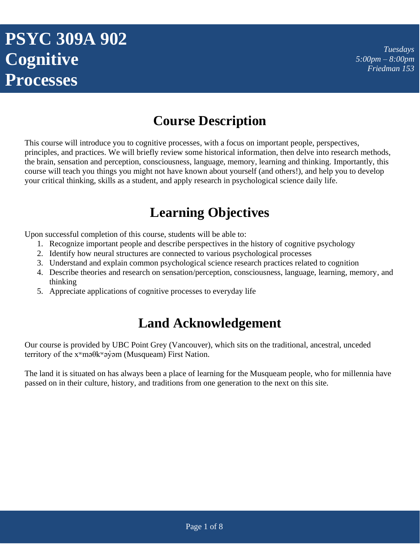# **PSYC 309A 902 Cognitive Processes**

*Tuesdays 5:00pm – 8:00pm Friedman 153*

## **Course Description**

This course will introduce you to cognitive processes, with a focus on important people, perspectives, principles, and practices. We will briefly review some historical information, then delve into research methods, the brain, sensation and perception, consciousness, language, memory, learning and thinking. Importantly, this course will teach you things you might not have known about yourself (and others!), and help you to develop your critical thinking, skills as a student, and apply research in psychological science daily life.

### **Learning Objectives**

Upon successful completion of this course, students will be able to:

- 1. Recognize important people and describe perspectives in the history of cognitive psychology
- 2. Identify how neural structures are connected to various psychological processes
- 3. Understand and explain common psychological science research practices related to cognition
- 4. Describe theories and research on sensation/perception, consciousness, language, learning, memory, and thinking
- 5. Appreciate applications of cognitive processes to everyday life

### **Land Acknowledgement**

Our course is provided by UBC Point Grey (Vancouver), which sits on the traditional, ancestral, unceded territory of the  $x^w$ mə $\theta$ kwəy̆əm (Musqueam) First Nation.

The land it is situated on has always been a place of learning for the Musqueam people, who for millennia have passed on in their culture, history, and traditions from one generation to the next on this site.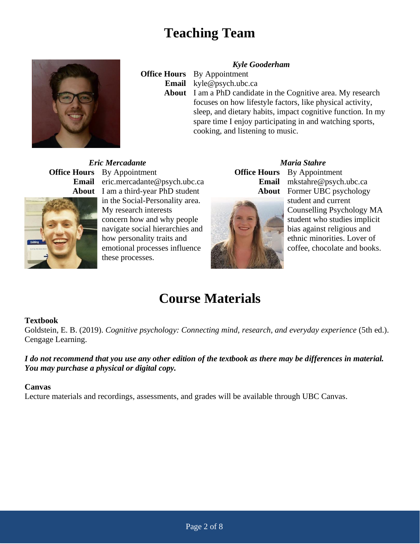### **Teaching Team**



**Office Hours** By Appointment

#### *Kyle Gooderham*

**Email** kyle@psych.ubc.ca

**About** I am a PhD candidate in the Cognitive area. My research focuses on how lifestyle factors, like physical activity, sleep, and dietary habits, impact cognitive function. In my spare time I enjoy participating in and watching sports. cooking, and listening to music.

*Eric Mercadante Maria Stahre* **Office Hours** By Appointment **Office Hours** By Appointment **Email** eric.mercadante@psych.ubc.ca **Email** mkstahre@psych.ubc.ca **About** I am a third-year PhD student



in the Social-Personality area. My research interests concern how and why people navigate social hierarchies and how personality traits and emotional processes influence these processes.



**About** Former UBC psychology student and current Counselling Psychology MA student who studies implicit bias against religious and ethnic minorities. Lover of coffee, chocolate and books.

## **Course Materials**

#### **Textbook**

Goldstein, E. B. (2019). *Cognitive psychology: Connecting mind, research, and everyday experience* (5th ed.). Cengage Learning.

#### *I do not recommend that you use any other edition of the textbook as there may be differences in material. You may purchase a physical or digital copy.*

#### **Canvas**

Lecture materials and recordings, assessments, and grades will be available through UBC Canvas.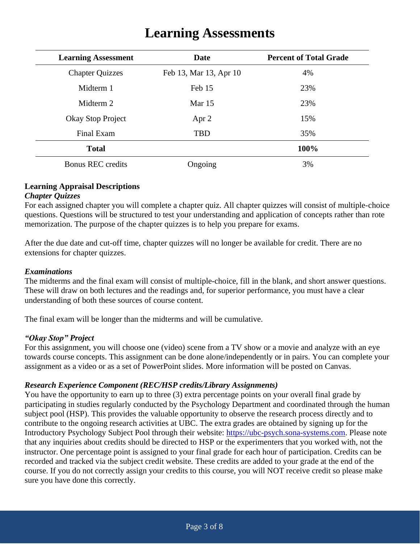| <b>Learning Assessment</b> | <b>Date</b>            | <b>Percent of Total Grade</b> |
|----------------------------|------------------------|-------------------------------|
| <b>Chapter Quizzes</b>     | Feb 13, Mar 13, Apr 10 | 4%                            |
| Midterm 1                  | Feb 15                 | 23%                           |
| Midterm 2                  | Mar $15$               | 23%                           |
| Okay Stop Project          | Apr 2                  | 15%                           |
| Final Exam                 | <b>TBD</b>             | 35%                           |
| <b>Total</b>               |                        | 100%                          |
| <b>Bonus REC</b> credits   | Ongoing                | 3%                            |

### **Learning Assessments**

#### **Learning Appraisal Descriptions**

#### *Chapter Quizzes*

For each assigned chapter you will complete a chapter quiz. All chapter quizzes will consist of multiple-choice questions. Questions will be structured to test your understanding and application of concepts rather than rote memorization. The purpose of the chapter quizzes is to help you prepare for exams.

After the due date and cut-off time, chapter quizzes will no longer be available for credit. There are no extensions for chapter quizzes.

#### *Examinations*

The midterms and the final exam will consist of multiple-choice, fill in the blank, and short answer questions. These will draw on both lectures and the readings and, for superior performance, you must have a clear understanding of both these sources of course content.

The final exam will be longer than the midterms and will be cumulative.

#### *"Okay Stop" Project*

For this assignment, you will choose one (video) scene from a TV show or a movie and analyze with an eye towards course concepts. This assignment can be done alone/independently or in pairs. You can complete your assignment as a video or as a set of PowerPoint slides. More information will be posted on Canvas.

#### *Research Experience Component (REC/HSP credits/Library Assignments)*

You have the opportunity to earn up to three (3) extra percentage points on your overall final grade by participating in studies regularly conducted by the Psychology Department and coordinated through the human subject pool (HSP). This provides the valuable opportunity to observe the research process directly and to contribute to the ongoing research activities at UBC. The extra grades are obtained by signing up for the Introductory Psychology Subject Pool through their website: [https://ubc-psych.sona-systems.com.](https://ubc-psych.sona-systems.com/) Please note that any inquiries about credits should be directed to HSP or the experimenters that you worked with, not the instructor. One percentage point is assigned to your final grade for each hour of participation. Credits can be recorded and tracked via the subject credit website. These credits are added to your grade at the end of the course. If you do not correctly assign your credits to this course, you will NOT receive credit so please make sure you have done this correctly.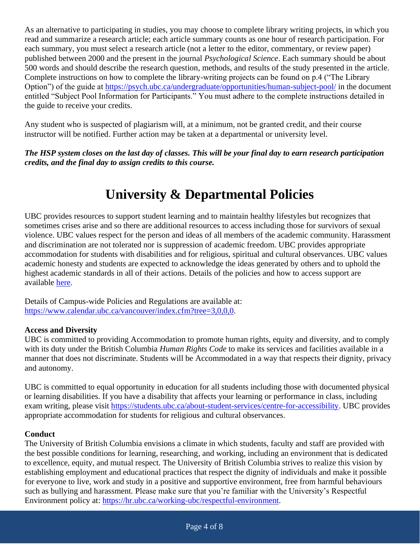As an alternative to participating in studies, you may choose to complete library writing projects, in which you read and summarize a research article; each article summary counts as one hour of research participation. For each summary, you must select a research article (not a letter to the editor, commentary, or review paper) published between 2000 and the present in the journal *Psychological Science*. Each summary should be about 500 words and should describe the research question, methods, and results of the study presented in the article. Complete instructions on how to complete the library-writing projects can be found on p.4 ("The Library Option") of the guide at<https://psych.ubc.ca/undergraduate/opportunities/human-subject-pool/> in the document entitled "Subject Pool Information for Participants." You must adhere to the complete instructions detailed in the guide to receive your credits.

Any student who is suspected of plagiarism will, at a minimum, not be granted credit, and their course instructor will be notified. Further action may be taken at a departmental or university level.

*The HSP system closes on the last day of classes. This will be your final day to earn research participation credits, and the final day to assign credits to this course.*

## **University & Departmental Policies**

UBC provides resources to support student learning and to maintain healthy lifestyles but recognizes that sometimes crises arise and so there are additional resources to access including those for survivors of sexual violence. UBC values respect for the person and ideas of all members of the academic community. Harassment and discrimination are not tolerated nor is suppression of academic freedom. UBC provides appropriate accommodation for students with disabilities and for religious, spiritual and cultural observances. UBC values academic honesty and students are expected to acknowledge the ideas generated by others and to uphold the highest academic standards in all of their actions. Details of the policies and how to access support are available [here.](http://senate.ubc.ca/policies-resources-support-student-success)

Details of Campus-wide Policies and Regulations are available at: [https://www.calendar.ubc.ca/vancouver/index.cfm?tree=3,0,0,0.](https://www.calendar.ubc.ca/vancouver/index.cfm?tree=3,0,0,0)

#### **Access and Diversity**

UBC is committed to providing Accommodation to promote human rights, equity and diversity, and to comply with its duty under the British Columbia *Human Rights Code* to make its services and facilities available in a manner that does not discriminate. Students will be Accommodated in a way that respects their dignity, privacy and autonomy.

UBC is committed to equal opportunity in education for all students including those with documented physical or learning disabilities. If you have a disability that affects your learning or performance in class, including exam writing, please visit [https://students.ubc.ca/about-student-services/centre-for-accessibility.](https://students.ubc.ca/about-student-services/centre-for-accessibility) UBC provides appropriate accommodation for students for religious and cultural observances.

#### **Conduct**

The University of British Columbia envisions a climate in which students, faculty and staff are provided with the best possible conditions for learning, researching, and working, including an environment that is dedicated to excellence, equity, and mutual respect. The University of British Columbia strives to realize this vision by establishing employment and educational practices that respect the dignity of individuals and make it possible for everyone to live, work and study in a positive and supportive environment, free from harmful behaviours such as bullying and harassment. Please make sure that you're familiar with the University's Respectful Environment policy at: [https://hr.ubc.ca/working-ubc/respectful-environment.](https://hr.ubc.ca/working-ubc/respectful-environment)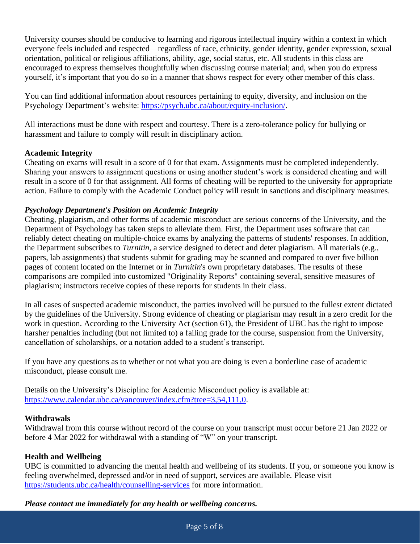University courses should be conducive to learning and rigorous intellectual inquiry within a context in which everyone feels included and respected—regardless of race, ethnicity, gender identity, gender expression, sexual orientation, political or religious affiliations, ability, age, social status, etc. All students in this class are encouraged to express themselves thoughtfully when discussing course material; and, when you do express yourself, it's important that you do so in a manner that shows respect for every other member of this class.

You can find additional information about resources pertaining to equity, diversity, and inclusion on the Psychology Department's website: [https://psych.ubc.ca/about/equity-inclusion/.](https://psych.ubc.ca/about/equity-inclusion/)

All interactions must be done with respect and courtesy. There is a zero-tolerance policy for bullying or harassment and failure to comply will result in disciplinary action.

#### **Academic Integrity**

Cheating on exams will result in a score of 0 for that exam. Assignments must be completed independently. Sharing your answers to assignment questions or using another student's work is considered cheating and will result in a score of 0 for that assignment. All forms of cheating will be reported to the university for appropriate action. Failure to comply with the Academic Conduct policy will result in sanctions and disciplinary measures.

#### *Psychology Department's Position on Academic Integrity*

Cheating, plagiarism, and other forms of academic misconduct are serious concerns of the University, and the Department of Psychology has taken steps to alleviate them. First, the Department uses software that can reliably detect cheating on multiple-choice exams by analyzing the patterns of students' responses. In addition, the Department subscribes to *Turnitin*, a service designed to detect and deter plagiarism. All materials (e.g., papers, lab assignments) that students submit for grading may be scanned and compared to over five billion pages of content located on the Internet or in *Turnitin*'s own proprietary databases. The results of these comparisons are compiled into customized "Originality Reports" containing several, sensitive measures of plagiarism; instructors receive copies of these reports for students in their class.

In all cases of suspected academic misconduct, the parties involved will be pursued to the fullest extent dictated by the guidelines of the University. Strong evidence of cheating or plagiarism may result in a zero credit for the work in question. According to the University Act (section 61), the President of UBC has the right to impose harsher penalties including (but not limited to) a failing grade for the course, suspension from the University, cancellation of scholarships, or a notation added to a student's transcript.

If you have any questions as to whether or not what you are doing is even a borderline case of academic misconduct, please consult me.

Details on the University's Discipline for Academic Misconduct policy is available at: [https://www.calendar.ubc.ca/vancouver/index.cfm?tree=3,54,111,0.](https://www.calendar.ubc.ca/vancouver/index.cfm?tree=3,54,111,0)

#### **Withdrawals**

Withdrawal from this course without record of the course on your transcript must occur before 21 Jan 2022 or before 4 Mar 2022 for withdrawal with a standing of "W" on your transcript.

#### **Health and Wellbeing**

UBC is committed to advancing the mental health and wellbeing of its students. If you, or someone you know is feeling overwhelmed, depressed and/or in need of support, services are available. Please visit <https://students.ubc.ca/health/counselling-services> for more information.

*Please contact me immediately for any health or wellbeing concerns.*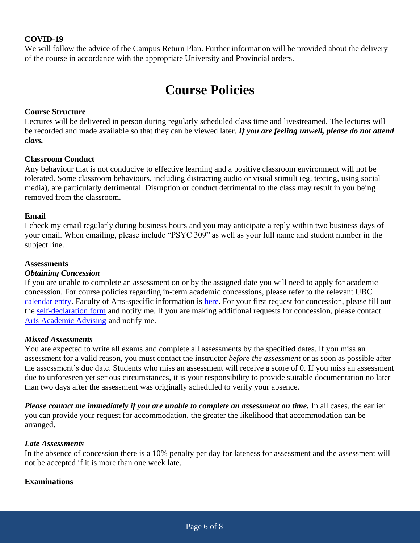#### **COVID-19**

We will follow the advice of the Campus Return Plan. Further information will be provided about the delivery of the course in accordance with the appropriate University and Provincial orders.

### **Course Policies**

#### **Course Structure**

Lectures will be delivered in person during regularly scheduled class time and livestreamed. The lectures will be recorded and made available so that they can be viewed later. *If you are feeling unwell, please do not attend class.*

#### **Classroom Conduct**

Any behaviour that is not conducive to effective learning and a positive classroom environment will not be tolerated. Some classroom behaviours, including distracting audio or visual stimuli (eg. texting, using social media), are particularly detrimental. Disruption or conduct detrimental to the class may result in you being removed from the classroom.

#### **Email**

I check my email regularly during business hours and you may anticipate a reply within two business days of your email. When emailing, please include "PSYC 309" as well as your full name and student number in the subject line.

#### **Assessments**

#### *Obtaining Concession*

If you are unable to complete an assessment on or by the assigned date you will need to apply for academic concession. For course policies regarding in-term academic concessions, please refer to the relevant UBC [calendar entry.](http://www.calendar.ubc.ca/vancouver/index.cfm?tree=3,329,0,0) Faculty of Arts-specific information is [here.](https://www.arts.ubc.ca/degree-planning/academic-performance/academic-concession/) For your first request for concession, please fill out the [self-declaration form](https://www.arts.ubc.ca/wp-content/uploads/sites/24/2019/10/Student-Self-Declaration-Form-1.6-Arts.pdf) and notify me. If you are making additional requests for concession, please contact [Arts Academic Advising](https://www.arts.ubc.ca/degree-planning/academic-performance/academic-concession/) and notify me.

#### *Missed Assessments*

You are expected to write all exams and complete all assessments by the specified dates. If you miss an assessment for a valid reason, you must contact the instructor *before the assessment* or as soon as possible after the assessment's due date. Students who miss an assessment will receive a score of 0. If you miss an assessment due to unforeseen yet serious circumstances, it is your responsibility to provide suitable documentation no later than two days after the assessment was originally scheduled to verify your absence.

*Please contact me immediately if you are unable to complete an assessment on time.* In all cases, the earlier you can provide your request for accommodation, the greater the likelihood that accommodation can be arranged.

#### *Late Assessments*

In the absence of concession there is a 10% penalty per day for lateness for assessment and the assessment will not be accepted if it is more than one week late.

#### **Examinations**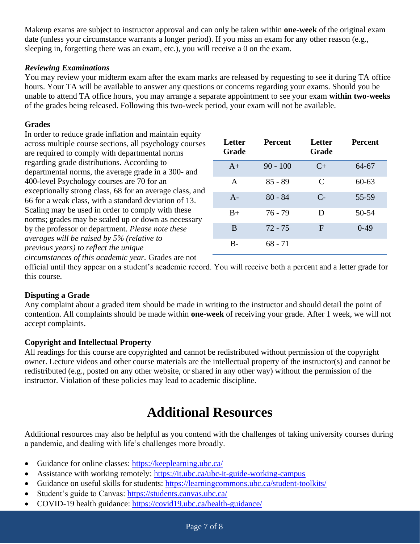Makeup exams are subject to instructor approval and can only be taken within **one-week** of the original exam date (unless your circumstance warrants a longer period). If you miss an exam for any other reason (e.g., sleeping in, forgetting there was an exam, etc.), you will receive a 0 on the exam.

#### *Reviewing Examinations*

You may review your midterm exam after the exam marks are released by requesting to see it during TA office hours. Your TA will be available to answer any questions or concerns regarding your exams. Should you be unable to attend TA office hours, you may arrange a separate appointment to see your exam **within two-weeks**  of the grades being released. Following this two-week period, your exam will not be available.

#### **Grades**

In order to reduce grade inflation and maintain equity across multiple course sections, all psychology courses are required to comply with departmental norms regarding grade distributions. According to departmental norms, the average grade in a 300- and 400-level Psychology courses are 70 for an exceptionally strong class, 68 for an average class, and 66 for a weak class, with a standard deviation of 13. Scaling may be used in order to comply with these norms; grades may be scaled up or down as necessary by the professor or department. *Please note these averages will be raised by 5% (relative to previous years) to reflect the unique*

| Letter<br>Grade | <b>Percent</b> | Letter<br>Grade | <b>Percent</b> |
|-----------------|----------------|-----------------|----------------|
| $A+$            | $90 - 100$     | $C_{\pm}$       | 64-67          |
| $\mathsf{A}$    | $85 - 89$      | $\mathcal{C}$   | $60 - 63$      |
| $A -$           | $80 - 84$      | $C-$            | 55-59          |
| $B+$            | 76 - 79        | D               | 50-54          |
| B               | $72 - 75$      | $\mathbf{F}$    | $0-49$         |
| В-              | 68 - 71        |                 |                |

*circumstances of this academic year.* Grades are not

official until they appear on a student's academic record. You will receive both a percent and a letter grade for this course.

#### **Disputing a Grade**

Any complaint about a graded item should be made in writing to the instructor and should detail the point of contention. All complaints should be made within **one-week** of receiving your grade. After 1 week, we will not accept complaints.

#### **Copyright and Intellectual Property**

All readings for this course are copyrighted and cannot be redistributed without permission of the copyright owner. Lecture videos and other course materials are the intellectual property of the instructor(s) and cannot be redistributed (e.g., posted on any other website, or shared in any other way) without the permission of the instructor. Violation of these policies may lead to academic discipline.

## **Additional Resources**

Additional resources may also be helpful as you contend with the challenges of taking university courses during a pandemic, and dealing with life's challenges more broadly.

- Guidance for online classes:<https://keeplearning.ubc.ca/>
- Assistance with working remotely:<https://it.ubc.ca/ubc-it-guide-working-campus>
- Guidance on useful skills for students:<https://learningcommons.ubc.ca/student-toolkits/>
- Student's guide to Canvas:<https://students.canvas.ubc.ca/>
- COVID-19 health guidance:<https://covid19.ubc.ca/health-guidance/>